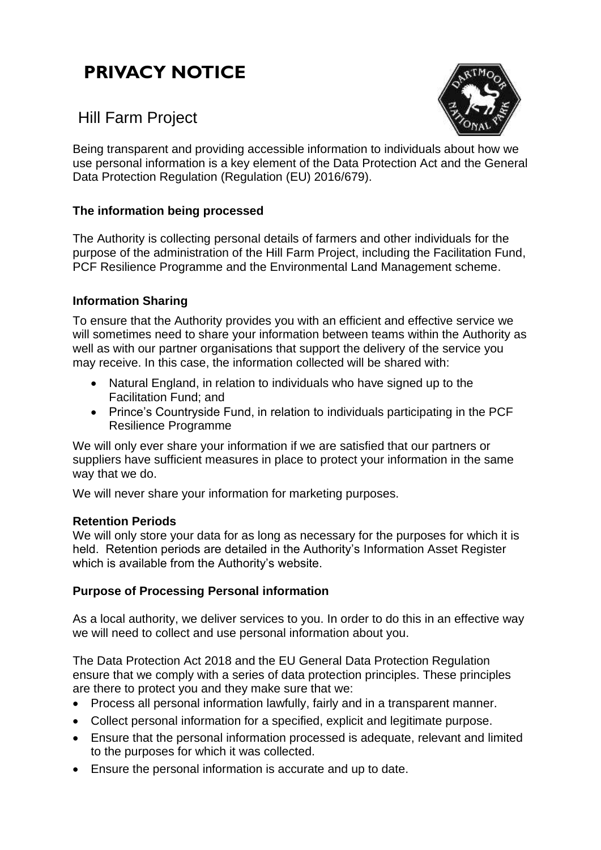# **PRIVACY NOTICE**



# Hill Farm Project

Being transparent and providing accessible information to individuals about how we use personal information is a key element of the Data Protection Act and the General Data Protection Regulation (Regulation (EU) 2016/679).

# **The information being processed**

The Authority is collecting personal details of farmers and other individuals for the purpose of the administration of the Hill Farm Project, including the Facilitation Fund, PCF Resilience Programme and the Environmental Land Management scheme.

#### **Information Sharing**

To ensure that the Authority provides you with an efficient and effective service we will sometimes need to share your information between teams within the Authority as well as with our partner organisations that support the delivery of the service you may receive. In this case, the information collected will be shared with:

- Natural England, in relation to individuals who have signed up to the Facilitation Fund; and
- Prince's Countryside Fund, in relation to individuals participating in the PCF Resilience Programme

We will only ever share your information if we are satisfied that our partners or suppliers have sufficient measures in place to protect your information in the same way that we do.

We will never share your information for marketing purposes.

#### **Retention Periods**

We will only store your data for as long as necessary for the purposes for which it is held. Retention periods are detailed in the Authority's Information Asset Register which is available from the Authority's website.

#### **Purpose of Processing Personal information**

As a local authority, we deliver services to you. In order to do this in an effective way we will need to collect and use personal information about you.

The Data Protection Act 2018 and the EU General Data Protection Regulation ensure that we comply with a series of data protection principles. These principles are there to protect you and they make sure that we:

- Process all personal information lawfully, fairly and in a transparent manner.
- Collect personal information for a specified, explicit and legitimate purpose.
- Ensure that the personal information processed is adequate, relevant and limited to the purposes for which it was collected.
- Ensure the personal information is accurate and up to date.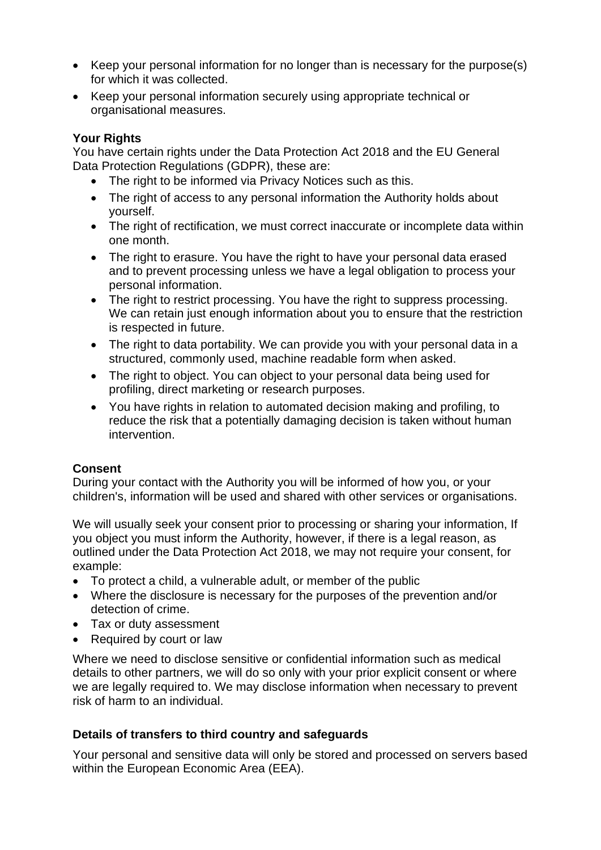- Keep your personal information for no longer than is necessary for the purpose(s) for which it was collected.
- Keep your personal information securely using appropriate technical or organisational measures.

#### **Your Rights**

You have certain rights under the Data Protection Act 2018 and the EU General Data Protection Regulations (GDPR), these are:

- The right to be informed via Privacy Notices such as this.
- The right of access to any personal information the Authority holds about yourself.
- The right of rectification, we must correct inaccurate or incomplete data within one month.
- The right to erasure. You have the right to have your personal data erased and to prevent processing unless we have a legal obligation to process your personal information.
- The right to restrict processing. You have the right to suppress processing. We can retain just enough information about you to ensure that the restriction is respected in future.
- The right to data portability. We can provide you with your personal data in a structured, commonly used, machine readable form when asked.
- The right to object. You can object to your personal data being used for profiling, direct marketing or research purposes.
- You have rights in relation to automated decision making and profiling, to reduce the risk that a potentially damaging decision is taken without human intervention.

# **Consent**

During your contact with the Authority you will be informed of how you, or your children's, information will be used and shared with other services or organisations.

We will usually seek your consent prior to processing or sharing your information, If you object you must inform the Authority, however, if there is a legal reason, as outlined under the Data Protection Act 2018, we may not require your consent, for example:

- To protect a child, a vulnerable adult, or member of the public
- Where the disclosure is necessary for the purposes of the prevention and/or detection of crime.
- Tax or duty assessment
- Required by court or law

Where we need to disclose sensitive or confidential information such as medical details to other partners, we will do so only with your prior explicit consent or where we are legally required to. We may disclose information when necessary to prevent risk of harm to an individual.

# **Details of transfers to third country and safeguards**

Your personal and sensitive data will only be stored and processed on servers based within the European Economic Area (EEA).